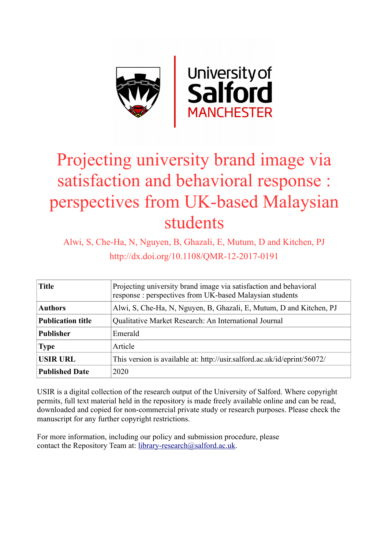

# Projecting university brand image via satisfaction and behavioral response : perspectives from UK-based Malaysian students

Alwi, S, Che-Ha, N, Nguyen, B, Ghazali, E, Mutum, D and Kitchen, PJ http://dx.doi.org/10.1108/QMR-12-2017-0191

| <b>Title</b>             | Projecting university brand image via satisfaction and behavioral<br>response: perspectives from UK-based Malaysian students |  |  |
|--------------------------|------------------------------------------------------------------------------------------------------------------------------|--|--|
| <b>Authors</b>           | Alwi, S, Che-Ha, N, Nguyen, B, Ghazali, E, Mutum, D and Kitchen, PJ                                                          |  |  |
| <b>Publication title</b> | Qualitative Market Research: An International Journal                                                                        |  |  |
| <b>Publisher</b>         | Emerald                                                                                                                      |  |  |
| <b>Type</b>              | Article                                                                                                                      |  |  |
| <b>USIR URL</b>          | This version is available at: http://usir.salford.ac.uk/id/eprint/56072/                                                     |  |  |
| <b>Published Date</b>    | 2020                                                                                                                         |  |  |

USIR is a digital collection of the research output of the University of Salford. Where copyright permits, full text material held in the repository is made freely available online and can be read, downloaded and copied for non-commercial private study or research purposes. Please check the manuscript for any further copyright restrictions.

For more information, including our policy and submission procedure, please contact the Repository Team at: [library-research@salford.ac.uk.](mailto:library-research@salford.ac.uk)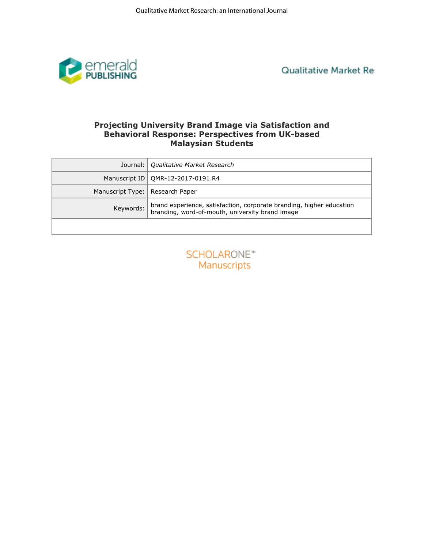

**Qualitative Market Re** 

# **Behavioral Response: Perspectives from UK-based Malaysian Students**

|                  | <b>Projecting University Brand Image via Satisfaction and</b><br><b>Behavioral Response: Perspectives from UK-based</b><br><b>Malaysian Students</b> |
|------------------|------------------------------------------------------------------------------------------------------------------------------------------------------|
| Journal:         | Qualitative Market Research                                                                                                                          |
| Manuscript ID    | QMR-12-2017-0191.R4                                                                                                                                  |
| Manuscript Type: | Research Paper                                                                                                                                       |
| Keywords:        | brand experience, satisfaction, corporate branding, higher education<br>branding, word-of-mouth, university brand image                              |
|                  |                                                                                                                                                      |
|                  | <b>SCHOLARONE™</b><br>Manuscripts                                                                                                                    |

| <b>SCHOLARONE™</b> |                    |  |  |
|--------------------|--------------------|--|--|
|                    | <b>Manuscripts</b> |  |  |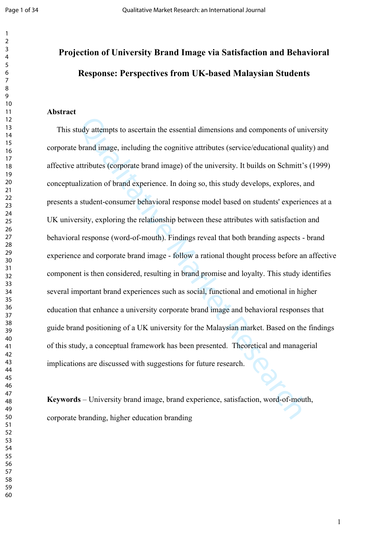# **Projection of University Brand Image via Satisfaction and Behavioral Response: Perspectives from UK-based Malaysian Students**

#### **Abstract**

tudy attempts to ascertain the essential dimensions and components of univortinal in<br>the brand image, including the cognitive attributes (service/educational qualit<br>attributes (corporate brand image) of the university. It This study attempts to ascertain the essential dimensions and components of university corporate brand image, including the cognitive attributes (service/educational quality) and affective attributes (corporate brand image) of the university. It builds on Schmitt's (1999) conceptualization of brand experience. In doing so, this study develops, explores, and presents a student-consumer behavioral response model based on students' experiences at a UK university, exploring the relationship between these attributes with satisfaction and behavioral response (word-of-mouth). Findings reveal that both branding aspects - brand experience and corporate brand image - follow a rational thought process before an affective component is then considered, resulting in brand promise and loyalty. This study identifies several important brand experiences such as social, functional and emotional in higher education that enhance a university corporate brand image and behavioral responses that guide brand positioning of a UK university for the Malaysian market. Based on the findings of this study, a conceptual framework has been presented. Theoretical and managerial implications are discussed with suggestions for future research.

**Keywords** – University brand image, brand experience, satisfaction, word-of-mouth, corporate branding, higher education branding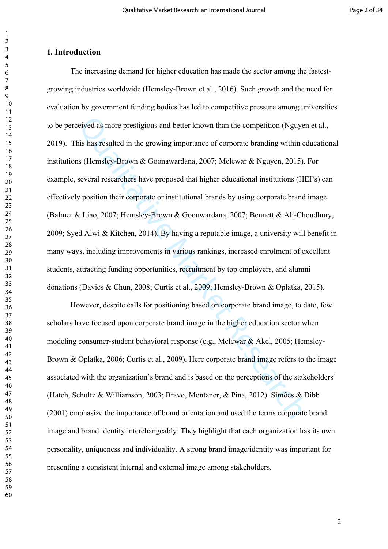#### **1. Introduction**

cived as more prestigious and better known than the competition (Nguyen<br>his has resulted in the growing importance of corporate branding within ed<br>as (Hemsley-Brown & Goonawardana, 2007; Melewar & Nguyen, 2015). I<br>several The increasing demand for higher education has made the sector among the fastestgrowing industries worldwide (Hemsley-Brown et al., 2016). Such growth and the need for evaluation by government funding bodies has led to competitive pressure among universities to be perceived as more prestigious and better known than the competition (Nguyen et al., 2019). This has resulted in the growing importance of corporate branding within educational institutions (Hemsley-Brown & Goonawardana, 2007; Melewar & Nguyen, 2015). For example, several researchers have proposed that higher educational institutions (HEI's) can effectively position their corporate or institutional brands by using corporate brand image (Balmer & Liao, 2007; Hemsley-Brown & Goonwardana, 2007; Bennett & Ali-Choudhury, 2009; Syed Alwi & Kitchen, 2014). By having a reputable image, a university will benefit in many ways, including improvements in various rankings, increased enrolment of excellent students, attracting funding opportunities, recruitment by top employers, and alumni donations (Davies & Chun, 2008; Curtis et al., 2009; Hemsley-Brown & Oplatka, 2015).

However, despite calls for positioning based on corporate brand image, to date, few scholars have focused upon corporate brand image in the higher education sector when modeling consumer-student behavioral response (e.g., Melewar & Akel, 2005; Hemsley-Brown & Oplatka, 2006; Curtis et al., 2009). Here corporate brand image refers to the image associated with the organization's brand and is based on the perceptions of the stakeholders' (Hatch, Schultz & Williamson, 2003; Bravo, Montaner, & Pina, 2012). Simões & Dibb (2001) emphasize the importance of brand orientation and used the terms corporate brand image and brand identity interchangeably. They highlight that each organization has its own personality, uniqueness and individuality. A strong brand image/identity was important for presenting a consistent internal and external image among stakeholders.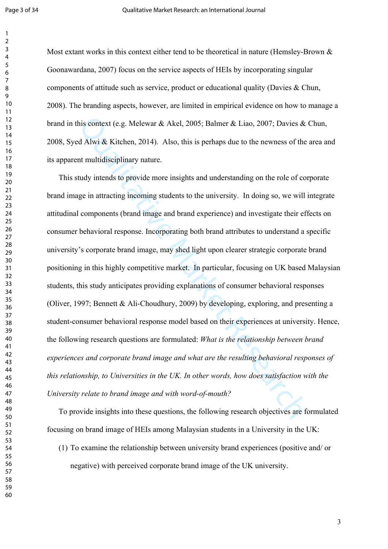Most extant works in this context either tend to be theoretical in nature (Hemsley-Brown & Goonawardana, 2007) focus on the service aspects of HEIs by incorporating singular components of attitude such as service, product or educational quality (Davies & Chun, 2008). The branding aspects, however, are limited in empirical evidence on how to manage a brand in this context (e.g. Melewar & Akel, 2005; Balmer & Liao, 2007; Davies & Chun, 2008, Syed Alwi & Kitchen, 2014). Also, this is perhaps due to the newness of the area and its apparent multidisciplinary nature.

his context (e.g. Melewar & Akel, 2005; Balmer & Liao, 2007; Davies & ed Alwi & Kitchen, 2014). Also, this is perhaps due to the newness of the at multidisciplinary nature.<br>
and multidisciplinary nature.<br>
tudy intends to p This study intends to provide more insights and understanding on the role of corporate brand image in attracting incoming students to the university. In doing so, we will integrate attitudinal components (brand image and brand experience) and investigate their effects on consumer behavioral response. Incorporating both brand attributes to understand a specific university's corporate brand image, may shed light upon clearer strategic corporate brand positioning in this highly competitive market. In particular, focusing on UK based Malaysian students, this study anticipates providing explanations of consumer behavioral responses (Oliver, 1997; Bennett & Ali-Choudhury, 2009) by developing, exploring, and presenting a student-consumer behavioral response model based on their experiences at university. Hence, the following research questions are formulated: *What is the relationship between brand experiences and corporate brand image and what are the resulting behavioral responses of this relationship, to Universities in the UK. In other words, how does satisfaction with the University relate to brand image and with word-of-mouth?* 

To provide insights into these questions, the following research objectives are formulated focusing on brand image of HEIs among Malaysian students in a University in the UK:

(1) To examine the relationship between university brand experiences (positive and/ or negative) with perceived corporate brand image of the UK university.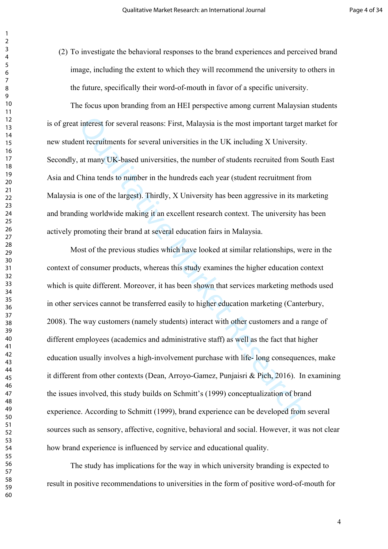(2) To investigate the behavioral responses to the brand experiences and perceived brand image, including the extent to which they will recommend the university to others in the future, specifically their word-of-mouth in favor of a specific university.

 The focus upon branding from an HEI perspective among current Malaysian students is of great interest for several reasons: First, Malaysia is the most important target market for new student recruitments for several universities in the UK including X University. Secondly, at many UK-based universities, the number of students recruited from South East Asia and China tends to number in the hundreds each year (student recruitment from Malaysia is one of the largest). Thirdly, X University has been aggressive in its marketing and branding worldwide making it an excellent research context. The university has been actively promoting their brand at several education fairs in Malaysia.

t interest for several reasons: First, Malaysia is the most important target net recruitments for several universities in the UK including X University, at many UK-based universities, the number of students recruited from Most of the previous studies which have looked at similar relationships, were in the context of consumer products, whereas this study examines the higher education context which is quite different. Moreover, it has been shown that services marketing methods used in other services cannot be transferred easily to higher education marketing (Canterbury, 2008). The way customers (namely students) interact with other customers and a range of different employees (academics and administrative staff) as well as the fact that higher education usually involves a high-involvement purchase with life- long consequences, make it different from other contexts (Dean, Arroyo-Gamez, Punjaisri & Pich, 2016). In examining the issues involved, this study builds on Schmitt's (1999) conceptualization of brand experience. According to Schmitt (1999), brand experience can be developed from several sources such as sensory, affective, cognitive, behavioral and social. However, it was not clear how brand experience is influenced by service and educational quality.

The study has implications for the way in which university branding is expected to result in positive recommendations to universities in the form of positive word-of-mouth for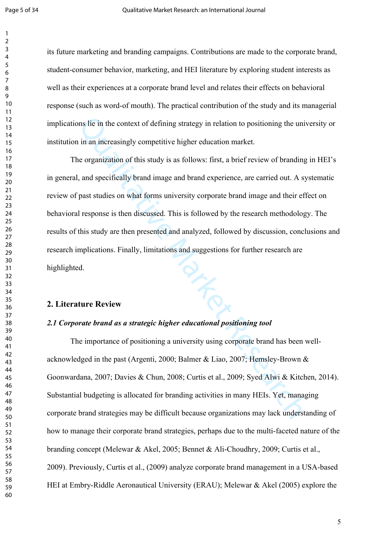its future marketing and branding campaigns. Contributions are made to the corporate brand, student-consumer behavior, marketing, and HEI literature by exploring student interests as well as their experiences at a corporate brand level and relates their effects on behavioral response (such as word-of mouth). The practical contribution of the study and its managerial implications lie in the context of defining strategy in relation to positioning the university or institution in an increasingly competitive higher education market.

ons lie in the context of defining strategy in relation to positioning the univ<br>in in an increasingly competitive higher education market.<br>
Le organization of this study is as follows: first, a brief review of branding<br>
1, The organization of this study is as follows: first, a brief review of branding in HEI's in general, and specifically brand image and brand experience, are carried out. A systematic review of past studies on what forms university corporate brand image and their effect on behavioral response is then discussed. This is followed by the research methodology. The results of this study are then presented and analyzed, followed by discussion, conclusions and research implications. Finally, limitations and suggestions for further research are highlighted.

#### **2. Literature Review**

#### *2.1 Corporate brand as a strategic higher educational positioning tool*

The importance of positioning a university using corporate brand has been wellacknowledged in the past (Argenti, 2000; Balmer & Liao, 2007; Hemsley-Brown & Goonwardana, 2007; Davies & Chun, 2008; Curtis et al., 2009; Syed Alwi & Kitchen, 2014). Substantial budgeting is allocated for branding activities in many HEIs. Yet, managing corporate brand strategies may be difficult because organizations may lack understanding of how to manage their corporate brand strategies, perhaps due to the multi-faceted nature of the branding concept (Melewar & Akel, 2005; Bennet & Ali-Choudhry, 2009; Curtis et al., 2009). Previously, Curtis et al., (2009) analyze corporate brand management in a USA-based HEI at Embry-Riddle Aeronautical University (ERAU); Melewar & Akel (2005) explore the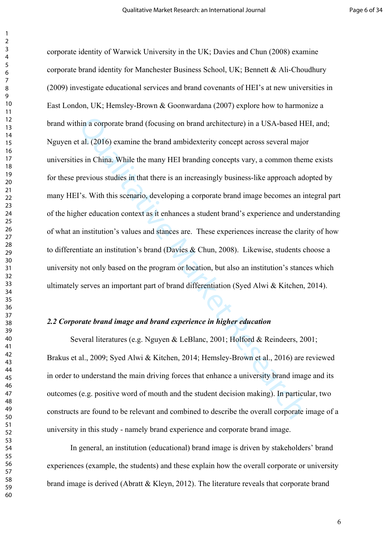hin a corporate brand (focusing on brand architecture) in a USA-based HF at (2016) examine the brand ambidexterity concept across several major es in China. While the many HEI branding concepts vary, a common them previous corporate identity of Warwick University in the UK; Davies and Chun (2008) examine corporate brand identity for Manchester Business School, UK; Bennett & Ali-Choudhury (2009) investigate educational services and brand covenants of HEI's at new universities in East London, UK; Hemsley-Brown & Goonwardana (2007) explore how to harmonize a brand within a corporate brand (focusing on brand architecture) in a USA-based HEI, and; Nguyen et al. (2016) examine the brand ambidexterity concept across several major universities in China. While the many HEI branding concepts vary, a common theme exists for these previous studies in that there is an increasingly business-like approach adopted by many HEI's. With this scenario, developing a corporate brand image becomes an integral part of the higher education context as it enhances a student brand's experience and understanding of what an institution's values and stances are. These experiences increase the clarity of how to differentiate an institution's brand (Davies & Chun, 2008). Likewise, students choose a university not only based on the program or location, but also an institution's stances which ultimately serves an important part of brand differentiation (Syed Alwi & Kitchen, 2014).

#### *2.2 Corporate brand image and brand experience in higher education*

Several literatures (e.g. Nguyen & LeBlanc, 2001; Holford & Reindeers, 2001; Brakus et al., 2009; Syed Alwi & Kitchen, 2014; Hemsley-Brown et al., 2016) are reviewed in order to understand the main driving forces that enhance a university brand image and its outcomes (e.g. positive word of mouth and the student decision making). In particular, two constructs are found to be relevant and combined to describe the overall corporate image of a university in this study - namely brand experience and corporate brand image.

In general, an institution (educational) brand image is driven by stakeholders' brand experiences (example, the students) and these explain how the overall corporate or university brand image is derived (Abratt & Kleyn, 2012). The literature reveals that corporate brand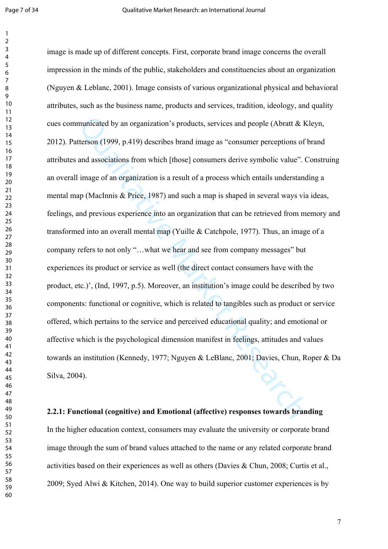municated by an organization's products, services and people (Abratt & K<br>tterson (1999, p.419) describes brand image as "consumer perceptions of l<br>and associations from which [those] consumers derive symbolic value". C<br>i i image is made up of different concepts. First, corporate brand image concerns the overall impression in the minds of the public, stakeholders and constituencies about an organization (Nguyen & Leblanc, 2001). Image consists of various organizational physical and behavioral attributes, such as the business name, products and services, tradition, ideology, and quality cues communicated by an organization's products, services and people (Abratt & Kleyn, 2012). Patterson (1999, p.419) describes brand image as "consumer perceptions of brand attributes and associations from which [those] consumers derive symbolic value". Construing an overall image of an organization is a result of a process which entails understanding a mental map (MacInnis & Price, 1987) and such a map is shaped in several ways via ideas, feelings, and previous experience into an organization that can be retrieved from memory and transformed into an overall mental map (Yuille & Catchpole, 1977). Thus, an image of a company refers to not only "…what we hear and see from company messages" but experiences its product or service as well (the direct contact consumers have with the product, etc.)', (Ind, 1997, p.5). Moreover, an institution's image could be described by two components: functional or cognitive, which is related to tangibles such as product or service offered, which pertains to the service and perceived educational quality; and emotional or affective which is the psychological dimension manifest in feelings, attitudes and values towards an institution (Kennedy, 1977; Nguyen & LeBlanc, 2001; Davies, Chun, Roper & Da Silva, 2004).

#### **2.2.1: Functional (cognitive) and Emotional (affective) responses towards branding**

In the higher education context, consumers may evaluate the university or corporate brand image through the sum of brand values attached to the name or any related corporate brand activities based on their experiences as well as others (Davies & Chun, 2008; Curtis et al., 2009; Syed Alwi & Kitchen, 2014). One way to build superior customer experiences is by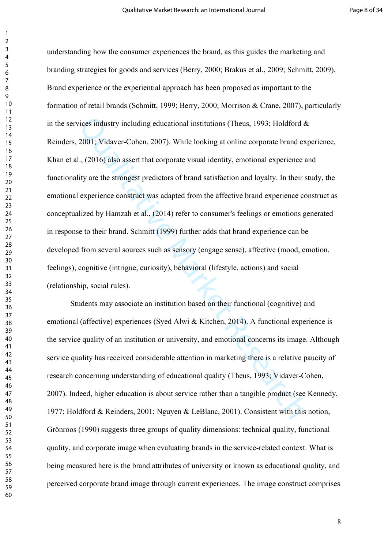vices industry including educational institutions (Theus, 1993; Holdford & 2001; Vidaver-Cohen, 2007). While looking at online corporate brand expansion 2.001; Vidaver-Cohen, 2007). While looking at online corporate brand understanding how the consumer experiences the brand, as this guides the marketing and branding strategies for goods and services (Berry, 2000; Brakus et al., 2009; Schmitt, 2009). Brand experience or the experiential approach has been proposed as important to the formation of retail brands (Schmitt, 1999; Berry, 2000; Morrison & Crane, 2007), particularly in the services industry including educational institutions (Theus, 1993; Holdford  $\&$ Reinders, 2001; Vidaver-Cohen, 2007). While looking at online corporate brand experience, Khan et al., (2016) also assert that corporate visual identity, emotional experience and functionality are the strongest predictors of brand satisfaction and loyalty. In their study, the emotional experience construct was adapted from the affective brand experience construct as conceptualized by Hamzah et al., (2014) refer to consumer's feelings or emotions generated in response to their brand. Schmitt (1999) further adds that brand experience can be developed from several sources such as sensory (engage sense), affective (mood, emotion, feelings), cognitive (intrigue, curiosity), behavioral (lifestyle, actions) and social (relationship, social rules).

Students may associate an institution based on their functional (cognitive) and emotional (affective) experiences (Syed Alwi & Kitchen, 2014). A functional experience is the service quality of an institution or university, and emotional concerns its image. Although service quality has received considerable attention in marketing there is a relative paucity of research concerning understanding of educational quality (Theus, 1993; Vidaver-Cohen, 2007). Indeed, higher education is about service rather than a tangible product (see Kennedy, 1977; Holdford & Reinders, 2001; Nguyen & LeBlanc, 2001). Consistent with this notion, Grönroos (1990) suggests three groups of quality dimensions: technical quality, functional quality, and corporate image when evaluating brands in the service-related context. What is being measured here is the brand attributes of university or known as educational quality, and perceived corporate brand image through current experiences. The image construct comprises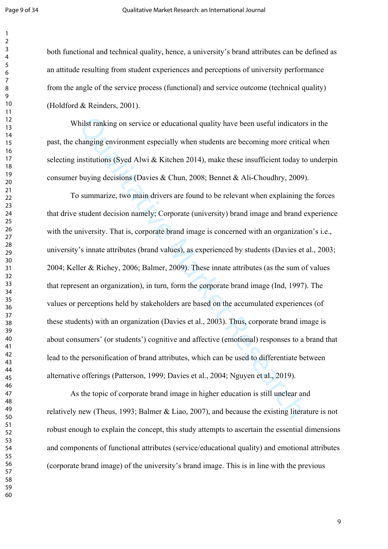both functional and technical quality, hence, a university's brand attributes can be defined as an attitude resulting from student experiences and perceptions of university performance from the angle of the service process (functional) and service outcome (technical quality) (Holdford & Reinders, 2001).

Whilst ranking on service or educational quality have been useful indicators in the past, the changing environment especially when students are becoming more critical when selecting institutions (Syed Alwi & Kitchen 2014), make these insufficient today to underpin consumer buying decisions (Davies & Chun, 2008; Bennet & Ali-Choudhry, 2009).

Thilst ranking on service or educational quality have been useful indicators<br>changing environment especially when students are becoming more critica<br>institutions (Syed Alwi & Kitchen 2014), make these insufficient today to To summarize, two main drivers are found to be relevant when explaining the forces that drive student decision namely; Corporate (university) brand image and brand experience with the university. That is, corporate brand image is concerned with an organization's i.e., university's innate attributes (brand values), as experienced by students (Davies et al., 2003; 2004; Keller & Richey, 2006; Balmer, 2009). These innate attributes (as the sum of values that represent an organization), in turn, form the corporate brand image (Ind, 1997). The values or perceptions held by stakeholders are based on the accumulated experiences (of these students) with an organization (Davies et al., 2003). Thus, corporate brand image is about consumers' (or students') cognitive and affective (emotional) responses to a brand that lead to the personification of brand attributes, which can be used to differentiate between alternative offerings (Patterson, 1999; Davies et al., 2004; Nguyen et al., 2019).

 As the topic of corporate brand image in higher education is still unclear and relatively new (Theus, 1993; Balmer & Liao, 2007), and because the existing literature is not robust enough to explain the concept, this study attempts to ascertain the essential dimensions and components of functional attributes (service/educational quality) and emotional attributes (corporate brand image) of the university's brand image. This is in line with the previous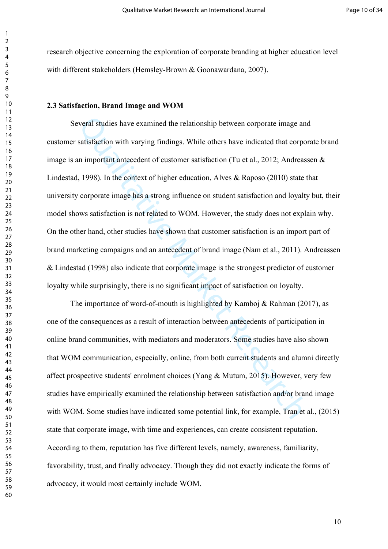research objective concerning the exploration of corporate branding at higher education level with different stakeholders (Hemsley-Brown & Goonawardana, 2007).

#### **2.3 Satisfaction, Brand Image and WOM**

everal studies have examined the relationship between corporate image and<br>satisfaction with varying findings. While others have indicated that corpor<br>an important antecedent of customer satisfaction (Tu et al., 2012; Andre Several studies have examined the relationship between corporate image and customer satisfaction with varying findings. While others have indicated that corporate brand image is an important antecedent of customer satisfaction (Tu et al., 2012; Andreassen & Lindestad, 1998). In the context of higher education, Alves & Raposo (2010) state that university corporate image has a strong influence on student satisfaction and loyalty but, their model shows satisfaction is not related to WOM. However, the study does not explain why. On the other hand, other studies have shown that customer satisfaction is an import part of brand marketing campaigns and an antecedent of brand image (Nam et al., 2011). Andreassen & Lindestad (1998) also indicate that corporate image is the strongest predictor of customer loyalty while surprisingly, there is no significant impact of satisfaction on loyalty.

The importance of word-of-mouth is highlighted by Kamboj & Rahman (2017), as one of the consequences as a result of interaction between antecedents of participation in online brand communities, with mediators and moderators. Some studies have also shown that WOM communication, especially, online, from both current students and alumni directly affect prospective students' enrolment choices (Yang & Mutum, 2015). However, very few studies have empirically examined the relationship between satisfaction and/or brand image with WOM. Some studies have indicated some potential link, for example, Tran et al., (2015) state that corporate image, with time and experiences, can create consistent reputation. According to them, reputation has five different levels, namely, awareness, familiarity, favorability, trust, and finally advocacy. Though they did not exactly indicate the forms of advocacy, it would most certainly include WOM.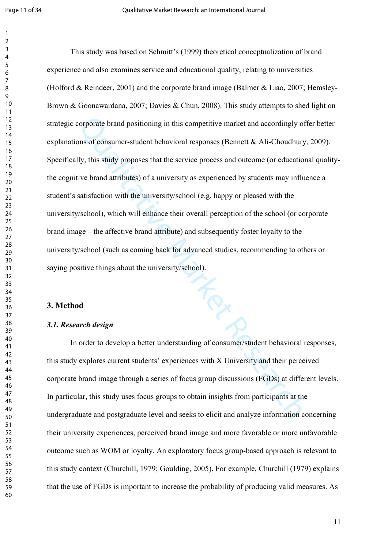corporate brand positioning in this competitive market and accordingly off<br>ons of consumer-student behavioral responses (Bennett & Ali-Choudhury,<br>ly, this study proposes that the service process and outcome (or education<br>v This study was based on Schmitt's (1999) theoretical conceptualization of brand experience and also examines service and educational quality, relating to universities (Holford & Reindeer, 2001) and the corporate brand image (Balmer & Liao, 2007; Hemsley-Brown & Goonawardana, 2007; Davies & Chun, 2008). This study attempts to shed light on strategic corporate brand positioning in this competitive market and accordingly offer better explanations of consumer-student behavioral responses (Bennett & Ali-Choudhury, 2009). Specifically, this study proposes that the service process and outcome (or educational qualitythe cognitive brand attributes) of a university as experienced by students may influence a student's satisfaction with the university/school (e.g. happy or pleased with the university/school), which will enhance their overall perception of the school (or corporate brand image – the affective brand attribute) and subsequently foster loyalty to the university/school (such as coming back for advanced studies, recommending to others or saying positive things about the university/school).

#### **3. Method**

#### *3.1. Research design*

In order to develop a better understanding of consumer/student behavioral responses, this study explores current students' experiences with X University and their perceived corporate brand image through a series of focus group discussions (FGDs) at different levels. In particular, this study uses focus groups to obtain insights from participants at the undergraduate and postgraduate level and seeks to elicit and analyze information concerning their university experiences, perceived brand image and more favorable or more unfavorable outcome such as WOM or loyalty. An exploratory focus group-based approach is relevant to this study context (Churchill, 1979; Goulding, 2005). For example, Churchill (1979) explains that the use of FGDs is important to increase the probability of producing valid measures. As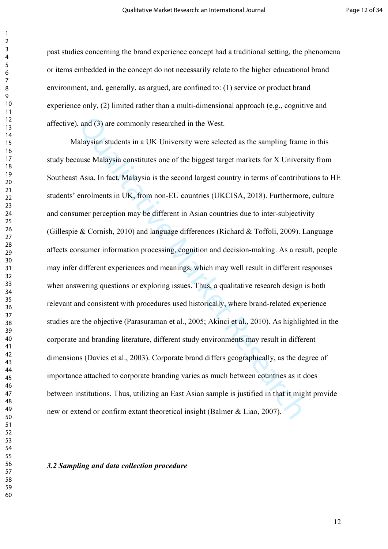past studies concerning the brand experience concept had a traditional setting, the phenomena or items embedded in the concept do not necessarily relate to the higher educational brand environment, and, generally, as argued, are confined to: (1) service or product brand experience only, (2) limited rather than a multi-dimensional approach (e.g., cognitive and affective), and (3) are commonly researched in the West.

, and (3) are commonly researched in the West.<br>
alaysian students in a UK University were selected as the sampling frame<br>
ause Malaysia constitutes one of the biggest target markets for X Universi<br>
Asia. In fact, Malaysia Malaysian students in a UK University were selected as the sampling frame in this study because Malaysia constitutes one of the biggest target markets for X University from Southeast Asia. In fact, Malaysia is the second largest country in terms of contributions to HE students' enrolments in UK, from non-EU countries (UKCISA, 2018). Furthermore, culture and consumer perception may be different in Asian countries due to inter-subjectivity (Gillespie & Cornish, 2010) and language differences (Richard & Toffoli, 2009). Language affects consumer information processing, cognition and decision-making. As a result, people may infer different experiences and meanings, which may well result in different responses when answering questions or exploring issues. Thus, a qualitative research design is both relevant and consistent with procedures used historically, where brand-related experience studies are the objective (Parasuraman et al., 2005; Akinci et al., 2010). As highlighted in the corporate and branding literature, different study environments may result in different dimensions (Davies et al., 2003). Corporate brand differs geographically, as the degree of importance attached to corporate branding varies as much between countries as it does between institutions. Thus, utilizing an East Asian sample is justified in that it might provide new or extend or confirm extant theoretical insight (Balmer & Liao, 2007).

#### *3.2 Sampling and data collection procedure*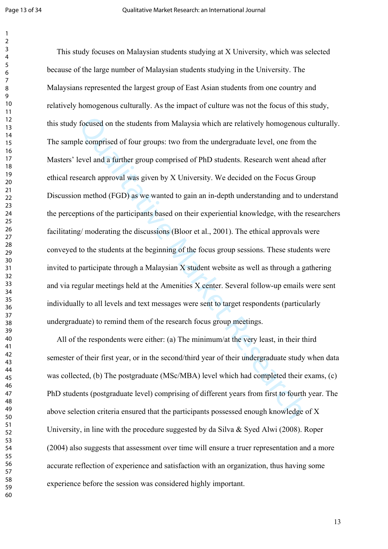focused on the students from Malaysia which are relatively homogenous<br>the comprised of four groups: two from the undergraduate level, one from t<br>level and a further group comprised of PhD students. Research went ahead<br>sear This study focuses on Malaysian students studying at X University, which was selected because of the large number of Malaysian students studying in the University. The Malaysians represented the largest group of East Asian students from one country and relatively homogenous culturally. As the impact of culture was not the focus of this study, this study focused on the students from Malaysia which are relatively homogenous culturally. The sample comprised of four groups: two from the undergraduate level, one from the Masters' level and a further group comprised of PhD students. Research went ahead after ethical research approval was given by X University. We decided on the Focus Group Discussion method (FGD) as we wanted to gain an in-depth understanding and to understand the perceptions of the participants based on their experiential knowledge, with the researchers facilitating/ moderating the discussions (Bloor et al., 2001). The ethical approvals were conveyed to the students at the beginning of the focus group sessions. These students were invited to participate through a Malaysian X student website as well as through a gathering and via regular meetings held at the Amenities X center. Several follow-up emails were sent individually to all levels and text messages were sent to target respondents (particularly undergraduate) to remind them of the research focus group meetings.

 All of the respondents were either: (a) The minimum/at the very least, in their third semester of their first year, or in the second/third year of their undergraduate study when data was collected, (b) The postgraduate (MSc/MBA) level which had completed their exams, (c) PhD students (postgraduate level) comprising of different years from first to fourth year. The above selection criteria ensured that the participants possessed enough knowledge of X University, in line with the procedure suggested by da Silva & Syed Alwi (2008). Roper (2004) also suggests that assessment over time will ensure a truer representation and a more accurate reflection of experience and satisfaction with an organization, thus having some experience before the session was considered highly important.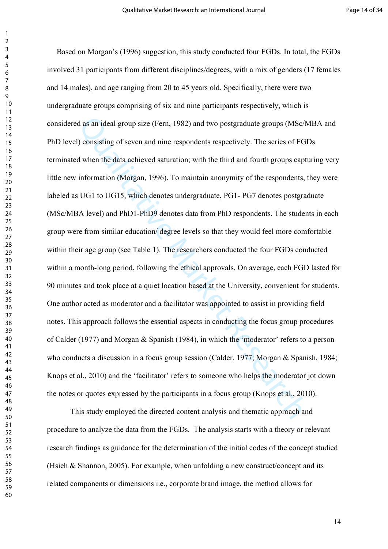d as an ideal group size (Fern, 1982) and two postgraduate groups (MSc/N<br>
1) consisting of seven and nine respondents respectively. The series of FGI<br>
d when the data achieved saturation; with the third and fourth groups c Based on Morgan's (1996) suggestion, this study conducted four FGDs. In total, the FGDs involved 31 participants from different disciplines/degrees, with a mix of genders (17 females and 14 males), and age ranging from 20 to 45 years old. Specifically, there were two undergraduate groups comprising of six and nine participants respectively, which is considered as an ideal group size (Fern, 1982) and two postgraduate groups (MSc/MBA and PhD level) consisting of seven and nine respondents respectively. The series of FGDs terminated when the data achieved saturation; with the third and fourth groups capturing very little new information (Morgan, 1996). To maintain anonymity of the respondents, they were labeled as UG1 to UG15, which denotes undergraduate, PG1- PG7 denotes postgraduate (MSc/MBA level) and PhD1-PhD9 denotes data from PhD respondents. The students in each group were from similar education/ degree levels so that they would feel more comfortable within their age group (see Table 1). The researchers conducted the four FGDs conducted within a month-long period, following the ethical approvals. On average, each FGD lasted for 90 minutes and took place at a quiet location based at the University, convenient for students. One author acted as moderator and a facilitator was appointed to assist in providing field notes. This approach follows the essential aspects in conducting the focus group procedures of Calder (1977) and Morgan & Spanish (1984), in which the 'moderator' refers to a person who conducts a discussion in a focus group session (Calder, 1977; Morgan & Spanish, 1984; Knops et al., 2010) and the 'facilitator' refers to someone who helps the moderator jot down the notes or quotes expressed by the participants in a focus group (Knops et al., 2010).

This study employed the directed content analysis and thematic approach and procedure to analyze the data from the FGDs. The analysis starts with a theory or relevant research findings as guidance for the determination of the initial codes of the concept studied (Hsieh & Shannon, 2005). For example, when unfolding a new construct/concept and its related components or dimensions i.e., corporate brand image, the method allows for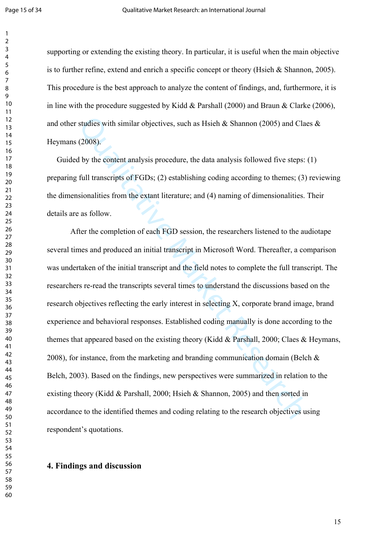supporting or extending the existing theory. In particular, it is useful when the main objective is to further refine, extend and enrich a specific concept or theory (Hsieh & Shannon, 2005). This procedure is the best approach to analyze the content of findings, and, furthermore, it is in line with the procedure suggested by Kidd & Parshall (2000) and Braun & Clarke (2006), and other studies with similar objectives, such as Hsieh & Shannon (2005) and Claes & Heymans (2008).

 Guided by the content analysis procedure, the data analysis followed five steps: (1) preparing full transcripts of FGDs; (2) establishing coding according to themes; (3) reviewing the dimensionalities from the extant literature; and (4) naming of dimensionalities. Their details are as follow.

studies with similar objectives, such as Hsieh & Shannon (2005) and Clace (2008).<br>
(2008).<br>
(2008).<br>
(2008).<br>
(b) the content analysis procedure, the data analysis followed five steps: (5)<br>
full transcripts of FGDs; (2) es After the completion of each FGD session, the researchers listened to the audiotape several times and produced an initial transcript in Microsoft Word. Thereafter, a comparison was undertaken of the initial transcript and the field notes to complete the full transcript. The researchers re-read the transcripts several times to understand the discussions based on the research objectives reflecting the early interest in selecting X, corporate brand image, brand experience and behavioral responses. Established coding manually is done according to the themes that appeared based on the existing theory (Kidd & Parshall, 2000; Claes & Heymans, 2008), for instance, from the marketing and branding communication domain (Belch & Belch, 2003). Based on the findings, new perspectives were summarized in relation to the existing theory (Kidd & Parshall, 2000; Hsieh & Shannon, 2005) and then sorted in accordance to the identified themes and coding relating to the research objectives using respondent's quotations.

#### **4. Findings and discussion**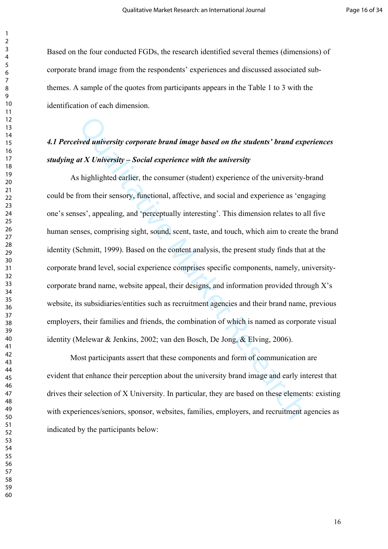Based on the four conducted FGDs, the research identified several themes (dimensions) of corporate brand image from the respondents' experiences and discussed associated subthemes. A sample of the quotes from participants appears in the Table 1 to 3 with the identification of each dimension.

### *4.1 Perceived university corporate brand image based on the students' brand experiences studying at X University – Social experience with the university*

diversity corporate brand image based on the students' brand expert at X University – Social experience with the university<br>that X University – Social experience with the university<br>from their sensory, functional, affectiv As highlighted earlier, the consumer (student) experience of the university-brand could be from their sensory, functional, affective, and social and experience as 'engaging one's senses', appealing, and 'perceptually interesting'. This dimension relates to all five human senses, comprising sight, sound, scent, taste, and touch, which aim to create the brand identity (Schmitt, 1999). Based on the content analysis, the present study finds that at the corporate brand level, social experience comprises specific components, namely, universitycorporate brand name, website appeal, their designs, and information provided through X's website, its subsidiaries/entities such as recruitment agencies and their brand name, previous employers, their families and friends, the combination of which is named as corporate visual identity (Melewar & Jenkins, 2002; van den Bosch, De Jong, & Elving, 2006).

Most participants assert that these components and form of communication are evident that enhance their perception about the university brand image and early interest that drives their selection of X University. In particular, they are based on these elements: existing with experiences/seniors, sponsor, websites, families, employers, and recruitment agencies as indicated by the participants below: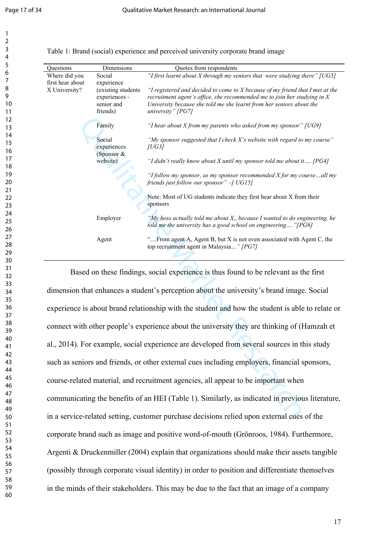| Questions        | Dimensions                                                    | Quotes from respondents                                                                                                                                                                                                                                    |
|------------------|---------------------------------------------------------------|------------------------------------------------------------------------------------------------------------------------------------------------------------------------------------------------------------------------------------------------------------|
| Where did you    | Social                                                        | "I first learnt about X through my seniors that were studying there" $[UG5]$                                                                                                                                                                               |
| first hear about | experience                                                    |                                                                                                                                                                                                                                                            |
| X University?    | (existing students<br>experiences -<br>senior and<br>friends) | "I registered and decided to come to $X$ because of my friend that I met at the<br>recruitment agent's office, she recommended me to join her studying in $X$<br>University because she told me she learnt from her seniors about the<br>university" [PG7] |
|                  | Family                                                        | "I hear about $X$ from my parents who asked from my sponsor" [UG9]                                                                                                                                                                                         |
|                  | Social<br>experiences                                         | "My sponsor suggested that I check X's website with regard to my course"<br><i>[UG3]</i>                                                                                                                                                                   |
|                  | (Sponsor $&$<br>website)                                      | "I didn't really know about X until my sponsor told me about it $[PG4]$                                                                                                                                                                                    |
|                  |                                                               | "I follow my sponsor, as my sponsor recommended $X$ for my courseall my<br>friends just follow our sponsor" $-I$ UG15]                                                                                                                                     |
|                  |                                                               | Note: Most of UG students indicate they first hear about X from their<br>sponsors                                                                                                                                                                          |
|                  | Employer                                                      | "My boss actually told me about $X$ , because I wanted to do engineering, he<br>told me the university has a good school on engineering"[PG6]                                                                                                              |
|                  | Agent                                                         | " From agent A, Agent B, but X is not even associated with Agent C, the<br>top recruitment agent in Malaysia" [PG7]                                                                                                                                        |

Table 1: Brand (social) experience and perceived university corporate brand image

Family<br>
Thear about X from my parents who asked from my sponsor" (Notical<br>
experiences<br>
(Sponsor &  $|UG3|$ <br>
(Sponsor &  $|UG3|$ <br>
(Sponsor &  $|UG3|$ <br>
(Sponsor &  $Hddn$  i really know about X until my sponsor told me about it.<br>
" Based on these findings, social experience is thus found to be relevant as the first dimension that enhances a student's perception about the university's brand image. Social experience is about brand relationship with the student and how the student is able to relate or connect with other people's experience about the university they are thinking of (Hamzah et al., 2014). For example, social experience are developed from several sources in this study such as seniors and friends, or other external cues including employers, financial sponsors, course-related material, and recruitment agencies, all appear to be important when communicating the benefits of an HEI (Table 1). Similarly, as indicated in previous literature, in a service-related setting, customer purchase decisions relied upon external cues of the corporate brand such as image and positive word-of-mouth (Grönroos, 1984). Furthermore, Argenti & Druckenmiller (2004) explain that organizations should make their assets tangible (possibly through corporate visual identity) in order to position and differentiate themselves in the minds of their stakeholders. This may be due to the fact that an image of a company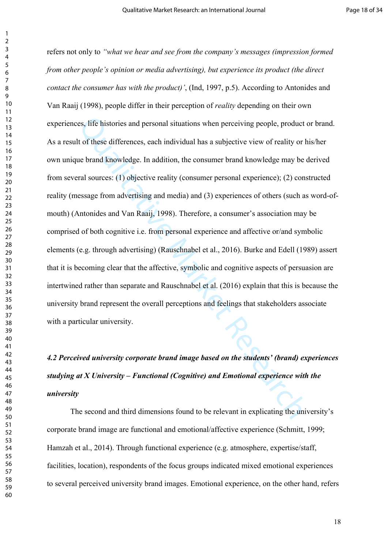es, life histories and personal situations when perceiving people, product the of these differences, each individual has a subjective view of reality or h<br>at the differences, each individual has a subjective view of realit refers not only to *"what we hear and see from the company's messages (impression formed from other people's opinion or media advertising), but experience its product (the direct contact the consumer has with the product)'*, (Ind, 1997, p.5). According to Antonides and Van Raaij (1998), people differ in their perception of *reality* depending on their own experiences, life histories and personal situations when perceiving people, product or brand. As a result of these differences, each individual has a subjective view of reality or his/her own unique brand knowledge. In addition, the consumer brand knowledge may be derived from several sources: (1) objective reality (consumer personal experience); (2) constructed reality (message from advertising and media) and (3) experiences of others (such as word-ofmouth) (Antonides and Van Raaij, 1998). Therefore, a consumer's association may be comprised of both cognitive i.e. from personal experience and affective or/and symbolic elements (e.g. through advertising) (Rauschnabel et al., 2016). Burke and Edell (1989) assert that it is becoming clear that the affective, symbolic and cognitive aspects of persuasion are intertwined rather than separate and Rauschnabel et al. (2016) explain that this is because the university brand represent the overall perceptions and feelings that stakeholders associate with a particular university.

# *4.2 Perceived university corporate brand image based on the students' (brand) experiences studying at X University – Functional (Cognitive) and Emotional experience with the university*

The second and third dimensions found to be relevant in explicating the university's corporate brand image are functional and emotional/affective experience (Schmitt, 1999; Hamzah et al., 2014). Through functional experience (e.g. atmosphere, expertise/staff, facilities, location), respondents of the focus groups indicated mixed emotional experiences to several perceived university brand images. Emotional experience, on the other hand, refers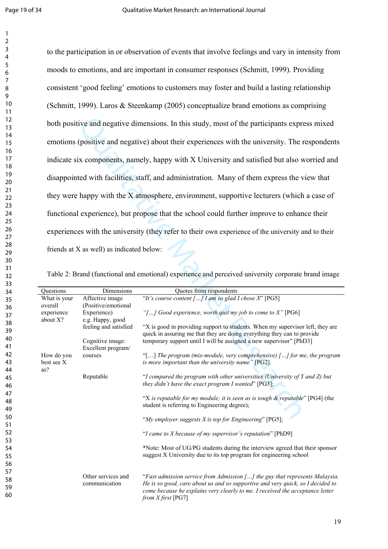tive and negative dimensions. In this study, most of the participants expres<br>
(positive and negative) about their experiences with the university. The re<br>
ix components, namely, happy with X University and satisfied but a to the participation in or observation of events that involve feelings and vary in intensity from moods to emotions, and are important in consumer responses (Schmitt, 1999). Providing consistent 'good feeling' emotions to customers may foster and build a lasting relationship (Schmitt, 1999). Laros & Steenkamp (2005) conceptualize brand emotions as comprising both positive and negative dimensions. In this study, most of the participants express mixed emotions (positive and negative) about their experiences with the university. The respondents indicate six components, namely, happy with X University and satisfied but also worried and disappointed with facilities, staff, and administration. Many of them express the view that they were happy with the X atmosphere, environment, supportive lecturers (which a case of functional experience), but propose that the school could further improve to enhance their experiences with the university (they refer to their own experience of the university and to their friends at X as well) as indicated below:

| Table 2: Brand (functional and emotional) experience and perceived university corporate brand image |  |  |  |
|-----------------------------------------------------------------------------------------------------|--|--|--|

| Questions                       | Dimensions                             | Quotes from respondents                                                                                                                                                                                                                                                |
|---------------------------------|----------------------------------------|------------------------------------------------------------------------------------------------------------------------------------------------------------------------------------------------------------------------------------------------------------------------|
| What is your<br>overall         | Affective image<br>(Positive/emotional | "It's course content [] I am so glad I chose $X$ " [PG5]                                                                                                                                                                                                               |
| experience<br>about X?          | Experience)<br>e.g. Happy, good        | "[] Good experience, worth quit my job to come to $X$ " [PG6]                                                                                                                                                                                                          |
|                                 | feeling and satisfied                  | "X is good in providing support to students. When my supervisor left, they are<br>quick in assuring me that they are doing everything they can to provide                                                                                                              |
|                                 | Cognitive image:<br>Excellent program/ | temporary support until I will be assigned a new supervisor" [PhD3]                                                                                                                                                                                                    |
| How do you<br>best see X<br>as? | courses                                | "[] The program (mix-module, very comprehensive) $\lceil  \rceil$ for me, the program<br>is more important than the university name" [PG2].                                                                                                                            |
|                                 | Reputable                              | "I compared the program with other universities (University of Y and Z) but<br>they didn't have the exact program I wanted" $[PG3]$ ;                                                                                                                                  |
|                                 |                                        | "X is reputable for my module; it is seen as is tough $\&$ reputable" [PG4] (the<br>student is referring to Engineering degree);                                                                                                                                       |
|                                 |                                        | "My employer suggests $X$ is top for Engineering" [PG5];                                                                                                                                                                                                               |
|                                 |                                        | "I came to $X$ because of my supervisor's reputation" [PhD9]                                                                                                                                                                                                           |
|                                 |                                        | *Note: Most of UG/PG students during the interview agreed that their sponsor<br>suggest X University due to its top program for engineering school                                                                                                                     |
|                                 | Other services and<br>communication    | "Fast admission service from Admission [] the guy that represents Malaysia.<br>He is so good, care about us and so supportive and very quick, so I decided to<br>come because he explains very clearly to me. I received the acceptance letter<br>from $X$ first [PG7] |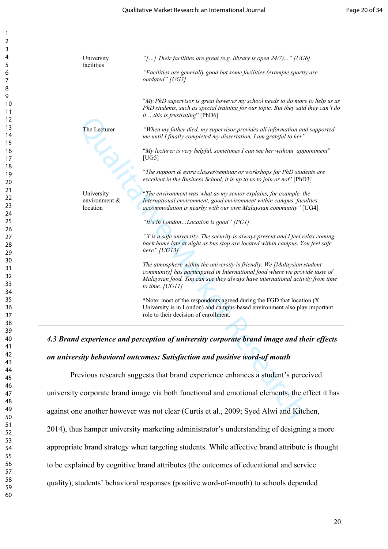| 2                                         |
|-------------------------------------------|
| 3                                         |
| 4                                         |
|                                           |
| 5                                         |
| 6                                         |
|                                           |
| 8                                         |
|                                           |
| 9                                         |
| 10                                        |
| 1<br>1                                    |
|                                           |
| 1<br>$\overline{a}$                       |
| 13                                        |
| 1<br>4                                    |
| 15                                        |
| 16                                        |
|                                           |
| 1                                         |
| 18                                        |
| 19                                        |
| 20                                        |
|                                           |
| $\overline{21}$                           |
| $\overline{2}$<br>$\overline{2}$          |
| $\overline{2}$<br>ξ                       |
| $\overline{24}$                           |
|                                           |
| 25                                        |
| 26                                        |
| 27                                        |
| 28                                        |
|                                           |
| 29                                        |
| 30                                        |
| $\overline{\textbf{3}}$                   |
| $\overline{\mathbf{S}}$<br>$\overline{2}$ |
|                                           |
| $\overline{\mathbf{3}}$<br>ξ              |
| 34                                        |
| 35                                        |
| 36                                        |
|                                           |
| 37                                        |
| 38                                        |
| $\frac{1}{2}$<br>C                        |
| 40                                        |
| 41                                        |
|                                           |
| 42                                        |
| 4.<br>ξ                                   |
| 44                                        |
| 45                                        |
|                                           |
| 46                                        |
| 47                                        |
| 48                                        |
| 49                                        |
|                                           |
| 50                                        |
| 51                                        |
| 5.<br>$\overline{2}$                      |
| $\overline{\mathbf{5}}$<br>3              |
|                                           |
| 54                                        |
| 55                                        |
| 56                                        |
| 57                                        |
|                                           |
| 58                                        |
| 59<br>ヲ                                   |

1

| University<br>facilities                   | "[] Their facilities are great (e.g. library is open $24/7$ )" [UG6]                                                                                                                                                                                         |
|--------------------------------------------|--------------------------------------------------------------------------------------------------------------------------------------------------------------------------------------------------------------------------------------------------------------|
|                                            | "Facilities are generally good but some facilities (example sports) are<br>outdated" [UG3]                                                                                                                                                                   |
|                                            | "My PhD supervisor is great however my school needs to do more to help us as<br>PhD students, such as special training for our topic. But they said they can't do<br>it this is frustrating" [PhD6]                                                          |
| The Lecturer                               | "When my father died, my supervisor provides all information and supported<br>me until I finally completed my dissertation, I am grateful to her"                                                                                                            |
|                                            | "My lecturer is very helpful, sometimes I can see her without appointment"<br>[UG5]                                                                                                                                                                          |
|                                            | "The support & extra classes/seminar or workshops for PhD students are<br>excellent in the Business School, it is up to us to join or not" [PhD3]                                                                                                            |
| University<br>environment $\&$<br>location | "The environment was what as my senior explains, for example, the<br>International environment, good environment within campus, faculties,<br>accommodation is nearby with our own Malaysian community" [UG4]                                                |
|                                            | "It's in LondonLocation is good" [PG1]                                                                                                                                                                                                                       |
|                                            | "X is a safe university. The security is always present and I feel relax coming<br>back home late at night as bus stop are located within campus. You feel safe<br>here" $[UG13]$                                                                            |
|                                            | The atmosphere within the university is friendly. We [Malaysian student<br>community] has participated in International food where we provide taste of<br>Malaysian food. You can see they always have international activity from time<br>to time. $[UG11]$ |
|                                            | *Note: most of the respondents agreed during the FGD that location (X)<br>University is in London) and campus-based environment also play important<br>role to their decision of enrollment.                                                                 |
|                                            | 4.3 Brand experience and perception of university corporate brand image and their effects                                                                                                                                                                    |
|                                            | on university behavioral outcomes: Satisfaction and positive word-of mouth                                                                                                                                                                                   |
|                                            | Previous research suggests that brand experience enhances a student's perceived                                                                                                                                                                              |
|                                            | university corporate brand image via both functional and emotional elements, the effect it has                                                                                                                                                               |
|                                            | against one another however was not clear (Curtis et al., 2009; Syed Alwi and Kitchen,                                                                                                                                                                       |

# *4.3 Brand experience and perception of university corporate brand image and their effects on university behavioral outcomes: Satisfaction and positive word-of mouth*

Previous research suggests that brand experience enhances a student's perceived university corporate brand image via both functional and emotional elements, the effect it has against one another however was not clear (Curtis et al., 2009; Syed Alwi and Kitchen, 2014), thus hamper university marketing administrator's understanding of designing a more appropriate brand strategy when targeting students. While affective brand attribute is thought to be explained by cognitive brand attributes (the outcomes of educational and service quality), students' behavioral responses (positive word-of-mouth) to schools depended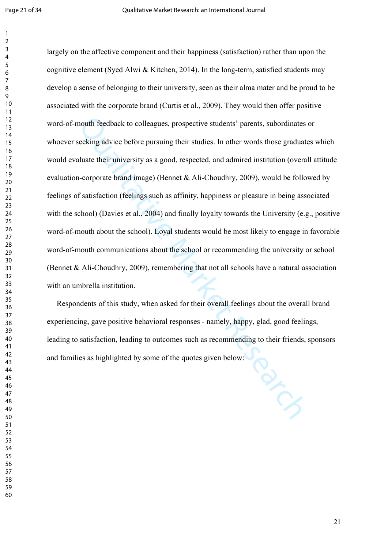mouth feedback to colleagues, prospective students' parents, subordinates seeking advice before pursuing their studies. In other words those graduate seeking advice before pursuing their studies. In other words those gradu largely on the affective component and their happiness (satisfaction) rather than upon the cognitive element (Syed Alwi & Kitchen, 2014). In the long-term, satisfied students may develop a sense of belonging to their university, seen as their alma mater and be proud to be associated with the corporate brand (Curtis et al., 2009). They would then offer positive word-of-mouth feedback to colleagues, prospective students' parents, subordinates or whoever seeking advice before pursuing their studies. In other words those graduates which would evaluate their university as a good, respected, and admired institution (overall attitude evaluation-corporate brand image) (Bennet & Ali-Choudhry, 2009), would be followed by feelings of satisfaction (feelings such as affinity, happiness or pleasure in being associated with the school) (Davies et al., 2004) and finally loyalty towards the University (e.g., positive word-of-mouth about the school). Loyal students would be most likely to engage in favorable word-of-mouth communications about the school or recommending the university or school (Bennet & Ali-Choudhry, 2009), remembering that not all schools have a natural association with an umbrella institution.

 Respondents of this study, when asked for their overall feelings about the overall brand experiencing, gave positive behavioral responses - namely, happy, glad, good feelings, leading to satisfaction, leading to outcomes such as recommending to their friends, sponsors and families as highlighted by some of the quotes given below: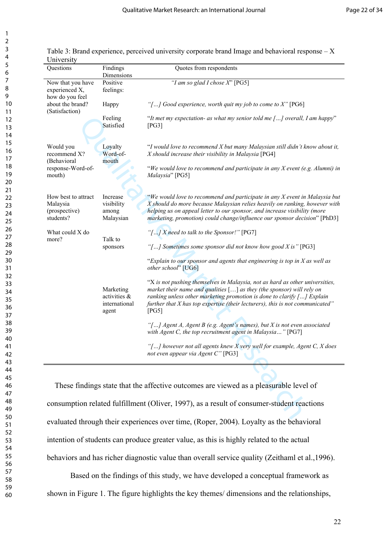| 3                                |
|----------------------------------|
| 4                                |
|                                  |
| 6                                |
|                                  |
| 8                                |
|                                  |
| 9                                |
| 10                               |
| 1<br>1                           |
| 1                                |
| 1<br>3                           |
| $\mathbf{1}$<br>4                |
| 15                               |
| 16                               |
| $\overline{1}$                   |
| 18                               |
| 19                               |
| 20                               |
| $\overline{21}$                  |
| $\overline{2}$<br>2              |
| $\overline{2}$<br>3              |
| 24                               |
| 25                               |
| 26                               |
| $\overline{27}$                  |
|                                  |
| 28                               |
| 29                               |
| 30                               |
| 31                               |
| 3.<br>$\overline{c}$             |
| 33                               |
| 3,<br>4                          |
| 35                               |
| 36                               |
| 37                               |
| 38                               |
| 39                               |
| 40                               |
| 41                               |
| 42                               |
| 4:<br>3                          |
| 44                               |
| 45                               |
| 46                               |
| 47                               |
|                                  |
| 48                               |
| 49                               |
| 50                               |
| 51                               |
| $\overline{5}$<br>$\overline{2}$ |
| $\overline{\mathbf{5}}$<br>3     |
| 54                               |
| 55                               |
| 56                               |
| $\overline{\mathbf{z}}$          |
| 58                               |
| 59                               |

1  $\overline{2}$ 

| Table 3: Brand experience, perceived university corporate brand Image and behavioral response $-X$ |  |
|----------------------------------------------------------------------------------------------------|--|
| University                                                                                         |  |

| Questions                                                     | Findings<br>Dimensions                              | Quotes from respondents                                                                                                                                                                                                                                                                                                       |
|---------------------------------------------------------------|-----------------------------------------------------|-------------------------------------------------------------------------------------------------------------------------------------------------------------------------------------------------------------------------------------------------------------------------------------------------------------------------------|
| Now that you have<br>experienced X,                           | Positive<br>feelings:                               | "I am so glad I chose $X$ " [PG5]                                                                                                                                                                                                                                                                                             |
| how do you feel<br>about the brand?<br>(Satisfaction)         | Happy                                               | "[] Good experience, worth quit my job to come to $X$ " [PG6]                                                                                                                                                                                                                                                                 |
|                                                               | Feeling<br>Satisfied                                | "It met my expectation- as what my senior told me [] overall, I am happy"<br>[PG3]                                                                                                                                                                                                                                            |
| Would you<br>recommend X?                                     | Loyalty<br>Word-of-                                 | "I would love to recommend X but many Malaysian still didn't know about it,<br>X should increase their visibility in Malaysia [PG4]                                                                                                                                                                                           |
| (Behavioral<br>response-Word-of-<br>mouth)                    | mouth                                               | "We would love to recommend and participate in any $X$ event (e.g. Alumni) in<br>Malaysia" [PG5]                                                                                                                                                                                                                              |
| How best to attract<br>Malaysia<br>(prospective)<br>students? | Increase<br>visibility<br>among<br>Malaysian        | "We would love to recommend and participate in any X event in Malaysia but<br>X should do more because Malaysian relies heavily on ranking, however with<br>helping us on appeal letter to our sponsor, and increase visibility (more<br>marketing, promotion) could change/influence our sponsor decision" [PhD3]            |
| What could X do<br>more?                                      | Talk to                                             | "[] X need to talk to the Sponsor!" [PG7]                                                                                                                                                                                                                                                                                     |
|                                                               | sponsors                                            | "[] Sometimes some sponsor did not know how good $X$ is" [PG3]<br>"Explain to our sponsor and agents that engineering is top in X as well as<br>other school" [UG6]                                                                                                                                                           |
|                                                               | Marketing<br>activities &<br>international<br>agent | "X is not pushing themselves in Malaysia, not as hard as other universities,<br>market their name and qualities $[]$ as they (the sponsor) will rely on<br>ranking unless other marketing promotion is done to clarify $[]$ Explain<br>further that X has top expertise (their lecturers), this is not communicated"<br>[PG5] |
|                                                               |                                                     | "[] Agent A, Agent B (e.g. Agent's names), but X is not even associated<br>with Agent C, the top recruitment agent in Malaysia" $[PG7]$                                                                                                                                                                                       |
|                                                               |                                                     | "[] however not all agents knew $X$ very well for example, Agent C, $X$ does<br>not even appear via Agent C" [PG3]                                                                                                                                                                                                            |
|                                                               |                                                     | These findings state that the affective outcomes are viewed as a pleasurable level of                                                                                                                                                                                                                                         |
|                                                               |                                                     | consumption related fulfillment (Oliver, 1997), as a result of consumer-student reactions                                                                                                                                                                                                                                     |
|                                                               |                                                     |                                                                                                                                                                                                                                                                                                                               |

 These findings state that the affective outcomes are viewed as a pleasurable level of consumption related fulfillment (Oliver, 1997), as a result of consumer-student reactions evaluated through their experiences over time, (Roper, 2004). Loyalty as the behavioral intention of students can produce greater value, as this is highly related to the actual behaviors and has richer diagnostic value than overall service quality (Zeithaml et al.,1996).

Based on the findings of this study, we have developed a conceptual framework as shown in Figure 1. The figure highlights the key themes/ dimensions and the relationships,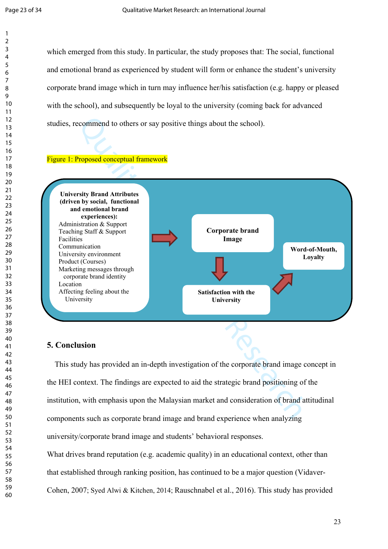which emerged from this study. In particular, the study proposes that: The social, functional and emotional brand as experienced by student will form or enhance the student's university corporate brand image which in turn may influence her/his satisfaction (e.g. happy or pleased with the school), and subsequently be loyal to the university (coming back for advanced studies, recommend to others or say positive things about the school).

#### Figure 1: Proposed conceptual framework



#### **5. Conclusion**

 This study has provided an in-depth investigation of the corporate brand image concept in the HEI context. The findings are expected to aid the strategic brand positioning of the institution, with emphasis upon the Malaysian market and consideration of brand attitudinal components such as corporate brand image and brand experience when analyzing university/corporate brand image and students' behavioral responses.

What drives brand reputation (e.g. academic quality) in an educational context, other than that established through ranking position, has continued to be a major question (Vidaver-Cohen, 2007; Syed Alwi & Kitchen, 2014; Rauschnabel et al., 2016). This study has provided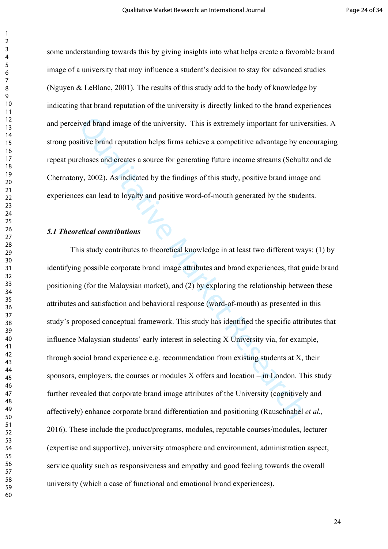some understanding towards this by giving insights into what helps create a favorable brand image of a university that may influence a student's decision to stay for advanced studies (Nguyen & LeBlanc, 2001). The results of this study add to the body of knowledge by indicating that brand reputation of the university is directly linked to the brand experiences and perceived brand image of the university. This is extremely important for universities. A strong positive brand reputation helps firms achieve a competitive advantage by encouraging repeat purchases and creates a source for generating future income streams (Schultz and de Chernatony, 2002). As indicated by the findings of this study, positive brand image and experiences can lead to loyalty and positive word-of-mouth generated by the students.

### *5.1 Theoretical contributions*

ived brand image of the university. This is extremely important for universitive brand reputation helps firms achieve a competitive advantage by enchases and creates a source for generating future income streams (Schultz b This study contributes to theoretical knowledge in at least two different ways: (1) by identifying possible corporate brand image attributes and brand experiences, that guide brand positioning (for the Malaysian market), and (2) by exploring the relationship between these attributes and satisfaction and behavioral response (word-of-mouth) as presented in this study's proposed conceptual framework. This study has identified the specific attributes that influence Malaysian students' early interest in selecting X University via, for example, through social brand experience e.g. recommendation from existing students at X, their sponsors, employers, the courses or modules X offers and location – in London. This study further revealed that corporate brand image attributes of the University (cognitively and affectively) enhance corporate brand differentiation and positioning (Rauschnabel *et al.,* 2016). These include the product/programs, modules, reputable courses/modules, lecturer (expertise and supportive), university atmosphere and environment, administration aspect, service quality such as responsiveness and empathy and good feeling towards the overall university (which a case of functional and emotional brand experiences).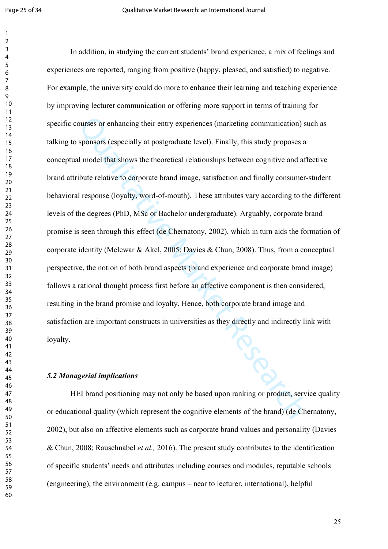ourses or enhancing their entry experiences (marketing communication) supposes a sponsors (especially at postgraduate level). Finally, this study proposes a almodel that shows the theoretical relationships between cognitiv In addition, in studying the current students' brand experience, a mix of feelings and experiences are reported, ranging from positive (happy, pleased, and satisfied) to negative. For example, the university could do more to enhance their learning and teaching experience by improving lecturer communication or offering more support in terms of training for specific courses or enhancing their entry experiences (marketing communication) such as talking to sponsors (especially at postgraduate level). Finally, this study proposes a conceptual model that shows the theoretical relationships between cognitive and affective brand attribute relative to corporate brand image, satisfaction and finally consumer-student behavioral response (loyalty, word-of-mouth). These attributes vary according to the different levels of the degrees (PhD, MSc or Bachelor undergraduate). Arguably, corporate brand promise is seen through this effect (de Chernatony, 2002), which in turn aids the formation of corporate identity (Melewar & Akel, 2005; Davies & Chun, 2008). Thus, from a conceptual perspective, the notion of both brand aspects (brand experience and corporate brand image) follows a rational thought process first before an affective component is then considered, resulting in the brand promise and loyalty. Hence, both corporate brand image and satisfaction are important constructs in universities as they directly and indirectly link with loyalty.

#### *5.2 Managerial implications*

HEI brand positioning may not only be based upon ranking or product, service quality or educational quality (which represent the cognitive elements of the brand) (de Chernatony, 2002), but also on affective elements such as corporate brand values and personality (Davies & Chun, 2008; Rauschnabel *et al.,* 2016). The present study contributes to the identification of specific students' needs and attributes including courses and modules, reputable schools (engineering), the environment (e.g. campus – near to lecturer, international), helpful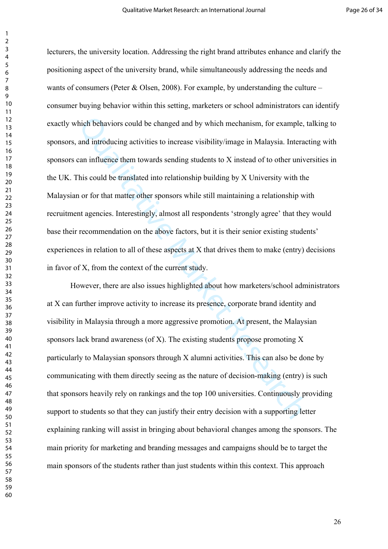hich behaviors could be changed and by which mechanism, for example, the and introducing activities to increase visibility/image in Malaysia. Interaccan influence them towards sending students to X instead of to other uni lecturers, the university location. Addressing the right brand attributes enhance and clarify the positioning aspect of the university brand, while simultaneously addressing the needs and wants of consumers (Peter & Olsen, 2008). For example, by understanding the culture – consumer buying behavior within this setting, marketers or school administrators can identify exactly which behaviors could be changed and by which mechanism, for example, talking to sponsors, and introducing activities to increase visibility/image in Malaysia. Interacting with sponsors can influence them towards sending students to X instead of to other universities in the UK. This could be translated into relationship building by X University with the Malaysian or for that matter other sponsors while still maintaining a relationship with recruitment agencies. Interestingly, almost all respondents 'strongly agree' that they would base their recommendation on the above factors, but it is their senior existing students' experiences in relation to all of these aspects at X that drives them to make (entry) decisions in favor of X, from the context of the current study.

However, there are also issues highlighted about how marketers/school administrators at X can further improve activity to increase its presence, corporate brand identity and visibility in Malaysia through a more aggressive promotion. At present, the Malaysian sponsors lack brand awareness (of  $X$ ). The existing students propose promoting  $X$ particularly to Malaysian sponsors through X alumni activities. This can also be done by communicating with them directly seeing as the nature of decision-making (entry) is such that sponsors heavily rely on rankings and the top 100 universities. Continuously providing support to students so that they can justify their entry decision with a supporting letter explaining ranking will assist in bringing about behavioral changes among the sponsors. The main priority for marketing and branding messages and campaigns should be to target the main sponsors of the students rather than just students within this context. This approach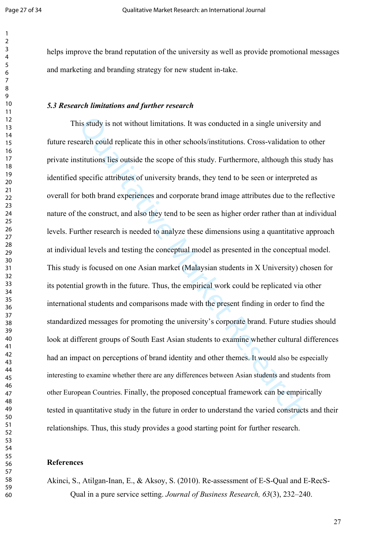helps improve the brand reputation of the university as well as provide promotional messages and marketing and branding strategy for new student in-take.

#### *5.3 Research limitations and further research*

is study is not without limitations. It was conducted in a single university<br>earch could replicate this in other schools/institutions. Cross-validation to<br>stitutions lies outside the scope of this study. Furthermore, altho This study is not without limitations. It was conducted in a single university and future research could replicate this in other schools/institutions. Cross-validation to other private institutions lies outside the scope of this study. Furthermore, although this study has identified specific attributes of university brands, they tend to be seen or interpreted as overall for both brand experiences and corporate brand image attributes due to the reflective nature of the construct, and also they tend to be seen as higher order rather than at individual levels. Further research is needed to analyze these dimensions using a quantitative approach at individual levels and testing the conceptual model as presented in the conceptual model. This study is focused on one Asian market (Malaysian students in X University) chosen for its potential growth in the future. Thus, the empirical work could be replicated via other international students and comparisons made with the present finding in order to find the standardized messages for promoting the university's corporate brand. Future studies should look at different groups of South East Asian students to examine whether cultural differences had an impact on perceptions of brand identity and other themes. It would also be especially interesting to examine whether there are any differences between Asian students and students from other European Countries. Finally, the proposed conceptual framework can be empirically tested in quantitative study in the future in order to understand the varied constructs and their relationships. Thus, this study provides a good starting point for further research.

#### **References**

Akinci, S., Atilgan-Inan, E., & Aksoy, S. (2010). Re-assessment of E-S-Qual and E-RecS-Qual in a pure service setting. *Journal of Business Research, 63*(3), 232–240.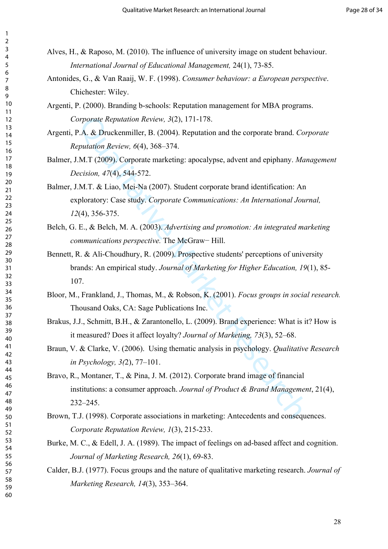- Alves, H., & Raposo, M. (2010). The influence of university image on student behaviour. *International Journal of Educational Management,* 24(1), 73-85.
- Antonides, G., & Van Raaij, W. F. (1998). *Consumer behaviour: a European perspective*. Chichester: Wiley.
- Argenti, P. (2000). Branding b-schools: Reputation management for MBA programs. *Corporate Reputation Review, 3*(2), 171-178.
- Argenti, P.A. & Druckenmiller, B. (2004). Reputation and the corporate brand. *Corporate Reputation Review, 6*(4), 368–374.
- Balmer, J.M.T (2009). Corporate marketing: apocalypse, advent and epiphany. *Management Decision, 47*(4), 544-572.
- Balmer, J.M.T. & Liao, Mei-Na (2007). Student corporate brand identification: An exploratory: Case study. *Corporate Communications: An International Journal,*  (4), 356-375.
- Belch, G. E., & Belch, M. A. (2003). *Advertising and promotion: An integrated marketing communications perspective.* The McGraw− Hill.
- Bennett, R. & Ali-Choudhury, R. (2009). Prospective students' perceptions of university brands: An empirical study. *Journal of Marketing for Higher Education, 19*(1), 85- 107.
- Bloor, M., Frankland, J., Thomas, M., & Robson, K. (2001). *Focus groups in social research.*  Thousand Oaks, CA: Sage Publications Inc.
- Brakus, J.J., Schmitt, B.H., & Zarantonello, L. (2009). Brand experience: What is it? How is it measured? Does it affect loyalty? *Journal of Marketing, 73*(3), 52–68.
- Braun, V. & Clarke, V. (2006). Using thematic analysis in psychology. *Qualitative Research in Psychology, 3(*2), 77–101.
- proprate Reputation Review, 3(2), 171-178.<br>
A. & Druckenmiller, B. (2004). Reputation and the corporate brand. Cor,<br>
M.T. (2009). Corporate marketing: apocalypse, advent and epiphany. *Mar*,<br>
M.T. (2009). Corporate market Bravo, R., Montaner, T., & Pina, J. M. (2012). Corporate brand image of financial institutions: a consumer approach. *Journal of Product & Brand Management*, 21(4), 232–245.
- Brown, T.J. (1998). Corporate associations in marketing: Antecedents and consequences. *Corporate Reputation Review, 1*(3), 215-233.
- Burke, M. C., & Edell, J. A. (1989). The impact of feelings on ad-based affect and cognition. *Journal of Marketing Research, 26*(1), 69-83.
- Calder, B.J. (1977). Focus groups and the nature of qualitative marketing research. *Journal of Marketing Research, 14*(3), 353–364.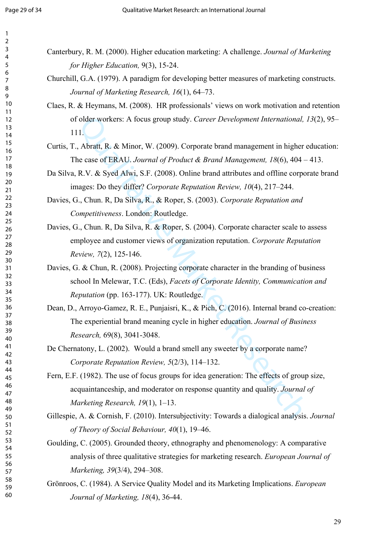- Canterbury, R. M. (2000). Higher education marketing: A challenge. *Journal of Marketing for Higher Education,* 9(3), 15-24.
- Churchill, G.A. (1979). A paradigm for developing better measures of marketing constructs. *Journal of Marketing Research, 16*(1), 64–73.
- Claes, R. & Heymans, M. (2008). HR professionals' views on work motivation and retention of older workers: A focus group study. *Career Development International, 13*(2), 95– 111.
- Curtis, T., Abratt, R. & Minor, W. (2009). Corporate brand management in higher education: The case of ERAU. *Journal of Product & Brand Management, 18*(6), 404 – 413.
- Da Silva, R.V. & Syed Alwi, S.F. (2008). Online brand attributes and offline corporate brand images: Do they differ? *Corporate Reputation Review, 10*(4), 217–244.
- Davies, G., Chun. R, Da Silva, R., & Roper, S. (2003). *Corporate Reputation and Competitiveness*. London: Routledge.
- Davies, G., Chun. R, Da Silva, R. & Roper, S. (2004). Corporate character scale to assess employee and customer views of organization reputation. *Corporate Reputation Review, 7*(2), 125-146.
- Folder workers: A focus group study. *Career Development International, 1*.<br>
1.<br>
Abratt, R. & Minor, W. (2009). Corporate brand management in higher e<br>
e case of ERAU. Journal of Product & Brand Management, 18(6), 404 –<br>
R Davies, G. & Chun, R. (2008). Projecting corporate character in the branding of business school In Melewar, T.C. (Eds), *Facets of Corporate Identity, Communication and Reputation* (pp. 163-177). UK: Routledge.
- Dean, D., Arroyo-Gamez, R. E., Punjaisri, K., & Pich, C. (2016). Internal brand co-creation: The experiential brand meaning cycle in higher education. *Journal of Business Research,* 69(8), 3041-3048.
- De Chernatony, L. (2002). Would a brand smell any sweeter by a corporate name? *Corporate Reputation Review, 5*(2/3), 114–132.
- Fern, E.F. (1982). The use of focus groups for idea generation: The effects of group size, acquaintanceship, and moderator on response quantity and quality. *Journal of Marketing Research, 19*(1), 1–13.
- Gillespie, A. & Cornish, F. (2010). Intersubjectivity: Towards a dialogical analysis. *Journal of Theory of Social Behaviour, 40*(1), 19–46.
- Goulding, C. (2005). Grounded theory, ethnography and phenomenology: A comparative analysis of three qualitative strategies for marketing research. *European Journal of Marketing, 39*(3/4), 294–308.
- Grönroos, C. (1984). A Service Quality Model and its Marketing Implications. *European Journal of Marketing, 18*(4), 36-44.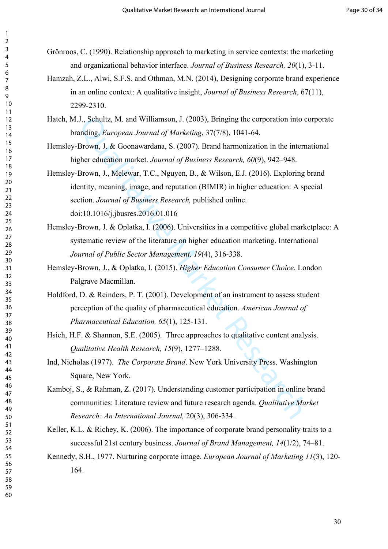Grönroos, C. (1990). Relationship approach to marketing in service contexts: the marketing and organizational behavior interface. *Journal of Business Research, 20*(1), 3-11.

- Hamzah, Z.L., Alwi, S.F.S. and Othman, M.N. (2014), Designing corporate brand experience in an online context: A qualitative insight, *Journal of Business Research*, 67(11), 2299-2310.
- Hatch, M.J., Schultz, M. and Williamson, J. (2003), Bringing the corporation into corporate branding, *European Journal of Marketing*, 37(7/8), 1041-64.
- Hemsley-Brown, J. & Goonawardana, S. (2007). Brand harmonization in the international higher education market. *Journal of Business Research, 60*(9), 942–948.
- J., Schultz, M. and Williamson, J. (2003), Bringing the corporation into conding, *European Journal of Marketing*, 37(7/8), 1041-64.<br>Brown, J. & Goonawardana, S. (2007). Brand harmonization in the intermedication market. Hemsley-Brown, J., Melewar, T.C., Nguyen, B., & Wilson, E.J. (2016). Exploring brand identity, meaning, image, and reputation (BIMIR) in higher education: A special section. *Journal of Business Research,* published online. doi:10.1016/j.jbusres.2016.01.016
- Hemsley-Brown, J. & Oplatka, I. (2006). Universities in a competitive global marketplace: A systematic review of the literature on higher education marketing. International *Journal of Public Sector Management, 19*(4), 316-338.
- Hemsley-Brown, J., & Oplatka, I. (2015). *Higher Education Consumer Choice.* London Palgrave Macmillan.
- Holdford, D. & Reinders, P. T. (2001). Development of an instrument to assess student perception of the quality of pharmaceutical education. *American Journal of Pharmaceutical Education, 65*(1), 125-131.
- Hsieh, H.F. & Shannon, S.E. (2005). Three approaches to qualitative content analysis. *Qualitative Health Research, 15*(9), 1277–1288.
- Ind, Nicholas (1977). *The Corporate Brand*. New York University Press. Washington Square, New York.
- Kamboj, S., & Rahman, Z. (2017). Understanding customer participation in online brand communities: Literature review and future research agenda. *Qualitative Market Research: An International Journal,* 20(3), 306-334.
- Keller, K.L. & Richey, K. (2006). The importance of corporate brand personality traits to a successful 21st century business. *Journal of Brand Management, 14*(1/2), 74–81.
- Kennedy, S.H., 1977. Nurturing corporate image. *European Journal of Marketing 11*(3), 120- 164.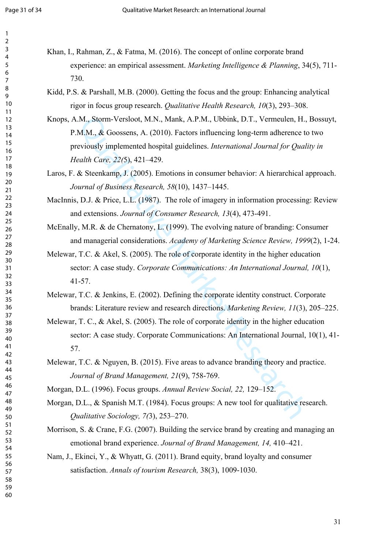- Khan, I., Rahman, Z., & Fatma, M. (2016). The concept of online corporate brand experience: an empirical assessment. *Marketing Intelligence & Planning*, 34(5), 711- 730.
	- Kidd, P.S. & Parshall, M.B. (2000). Getting the focus and the group: Enhancing analytical rigor in focus group research. *Qualitative Health Research, 10*(3), 293–308.
	- M., Storm-Versloot, M.N., Mank, A.P.M., Ubbink, D.T., Vermeulen, H., M.M., & Goossens, A. (2010). Factors influencing long-term adherence te eviously implemented hospital guidelines. *International Journal for Qualial Car* Knops, A.M., Storm-Versloot, M.N., Mank, A.P.M., Ubbink, D.T., Vermeulen, H., Bossuyt, P.M.M., & Goossens, A. (2010). Factors influencing long-term adherence to two previously implemented hospital guidelines. *International Journal for Quality in Health Care, 22(*5), 421–429.
	- Laros, F. & Steenkamp, J. (2005). Emotions in consumer behavior: A hierarchical approach. *Journal of Business Research, 58*(10), 1437–1445.
	- MacInnis, D.J. & Price, L.L. (1987). The role of imagery in information processing: Review and extensions. *Journal of Consumer Research, 13*(4), 473-491.
	- McEnally, M.R. & de Chernatony, L. (1999). The evolving nature of branding: Consumer and managerial considerations. *Academy of Marketing Science Review, 1999*(2), 1-24.
	- Melewar, T.C. & Akel, S. (2005). The role of corporate identity in the higher education sector: A case study. *Corporate Communications: An International Journal, 10*(1), 41-57.
	- Melewar, T.C. & Jenkins, E. (2002). Defining the corporate identity construct. Corporate brands: Literature review and research directions. *Marketing Review, 11*(3), 205–225.
	- Melewar, T. C., & Akel, S. (2005). The role of corporate identity in the higher education sector: A case study. Corporate Communications: An International Journal, 10(1), 41- 57.
	- Melewar, T.C. & Nguyen, B. (2015). Five areas to advance branding theory and practice. *Journal of Brand Management, 21*(9), 758-769.
	- Morgan, D.L. (1996). Focus groups. *Annual Review Social, 22,* 129–152.
	- Morgan, D.L., & Spanish M.T. (1984). Focus groups: A new tool for qualitative research. *Qualitative Sociology, 7(*3), 253–270.
	- Morrison, S. & Crane, F.G. (2007). Building the service brand by creating and managing an emotional brand experience. *Journal of Brand Management, 14,* 410–421.
	- Nam, J., Ekinci, Y., & Whyatt, G. (2011). Brand equity, brand loyalty and consumer satisfaction. *Annals of tourism Research,* 38(3), 1009-1030.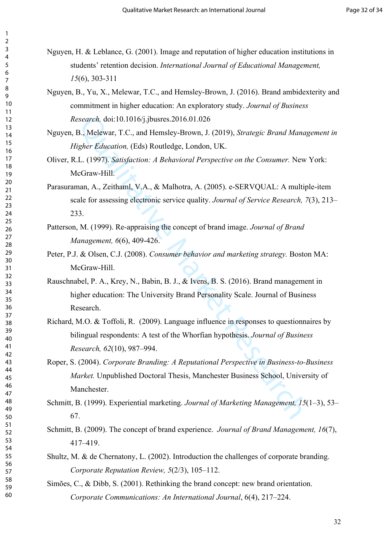Nguyen, H. & Leblance, G. (2001). Image and reputation of higher education institutions in students' retention decision. *International Journal of Educational Management,*  (6), 303-311

- Nguyen, B., Yu, X., Melewar, T.C., and Hemsley-Brown, J. (2016). Brand ambidexterity and commitment in higher education: An exploratory study. *Journal of Business Research.* doi:10.1016/j.jbusres.2016.01.026
- Nguyen, B., Melewar, T.C., and Hemsley-Brown, J. (2019), *Strategic Brand Management in Higher Education,* (Eds) Routledge, London, UK.
- Oliver, R.L. (1997). *Satisfaction: A Behavioral Perspective on the Consumer.* New York: McGraw-Hill.
- Parasuraman, A., Zeithaml, V.A., & Malhotra, A. (2005). e-SERVQUAL: A multiple-item scale for assessing electronic service quality. *Journal of Service Research, 7*(3), 213– 233.
- Patterson, M. (1999). Re-appraising the concept of brand image. *Journal of Brand Management, 6*(6), 409-426.
- Peter, P.J. & Olsen, C.J. (2008). *Consumer behavior and marketing strategy.* Boston MA: McGraw-Hill.
- Rauschnabel, P. A., Krey, N., Babin, B. J., & Ivens, B. S. (2016). Brand management in higher education: The University Brand Personality Scale. Journal of Business Research.
- Richard, M.O. & Toffoli, R. (2009). Language influence in responses to questionnaires by bilingual respondents: A test of the Whorfian hypothesis. *Journal of Business Research, 62*(10), 987–994.
- ssearch, doi:10.1016/j.jbusres.2016.01.026<br>
B., Melewar, T.C., and Hemsley-Brown, J. (2019), *Strategic Brand Managigher Education*, (Eds) Routledge, London, UK.<br>
L. (1997). *Satisfaction: A Behavioral Perspective on the C* Roper, S. (2004). *Corporate Branding: A Reputational Perspective in Business-to-Business Market.* Unpublished Doctoral Thesis, Manchester Business School, University of Manchester.
- Schmitt, B. (1999). Experiential marketing. *Journal of Marketing Management, 15*(1–3), 53– 67.
- Schmitt, B. (2009). The concept of brand experience. *Journal of Brand Management, 16*(7), 417–419.
- Shultz, M. & de Chernatony, L. (2002). Introduction the challenges of corporate branding. *Corporate Reputation Review, 5*(2/3), 105–112.
- Simões, C., & Dibb, S. (2001). Rethinking the brand concept: new brand orientation. *Corporate Communications: An International Journal*, 6(4), 217–224.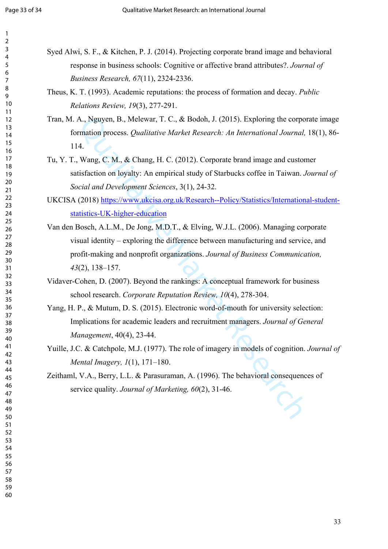| Syed Alwi, S. F., & Kitchen, P. J. (2014). Projecting corporate brand image and behavioral                                            |
|---------------------------------------------------------------------------------------------------------------------------------------|
| response in business schools: Cognitive or affective brand attributes?. Journal of                                                    |
| Business Research, 67(11), 2324-2336.                                                                                                 |
| Theus, K. T. (1993). Academic reputations: the process of formation and decay. Public                                                 |
| Relations Review, 19(3), 277-291.                                                                                                     |
| Tran, M. A., Nguyen, B., Melewar, T. C., & Bodoh, J. (2015). Exploring the corporate image                                            |
| formation process. Qualitative Market Research: An International Journal, 18(1), 86-<br>114.                                          |
| Tu, Y. T., Wang, C. M., & Chang, H. C. (2012). Corporate brand image and customer                                                     |
|                                                                                                                                       |
| satisfaction on loyalty: An empirical study of Starbucks coffee in Taiwan. Journal of                                                 |
| Social and Development Sciences, 3(1), 24-32.                                                                                         |
| UKCISA (2018) https://www.ukcisa.org.uk/Research--Policy/Statistics/International-student-                                            |
| statistics-UK-higher-education                                                                                                        |
| Van den Bosch, A.L.M., De Jong, M.D.T., & Elving, W.J.L. (2006). Managing corporate                                                   |
| visual identity – exploring the difference between manufacturing and service, and                                                     |
| profit-making and nonprofit organizations. Journal of Business Communication,                                                         |
| $43(2)$ , 138-157.                                                                                                                    |
| Vidaver-Cohen, D. (2007). Beyond the rankings: A conceptual framework for business                                                    |
| school research. Corporate Reputation Review, 10(4), 278-304.                                                                         |
| Yang, H. P., & Mutum, D. S. (2015). Electronic word-of-mouth for university selection:                                                |
| Implications for academic leaders and recruitment managers. Journal of General                                                        |
| Management, 40(4), 23-44.                                                                                                             |
| Yuille, J.C. & Catchpole, M.J. (1977). The role of imagery in models of cognition. Journal of<br>Mental Imagery, $1(1)$ , $171-180$ . |
|                                                                                                                                       |
| Zeithaml, V.A., Berry, L.L. & Parasuraman, A. (1996). The behavioral consequences of                                                  |
| service quality. Journal of Marketing, 60(2), 31-46.                                                                                  |
|                                                                                                                                       |
|                                                                                                                                       |
|                                                                                                                                       |
|                                                                                                                                       |
|                                                                                                                                       |
|                                                                                                                                       |
|                                                                                                                                       |